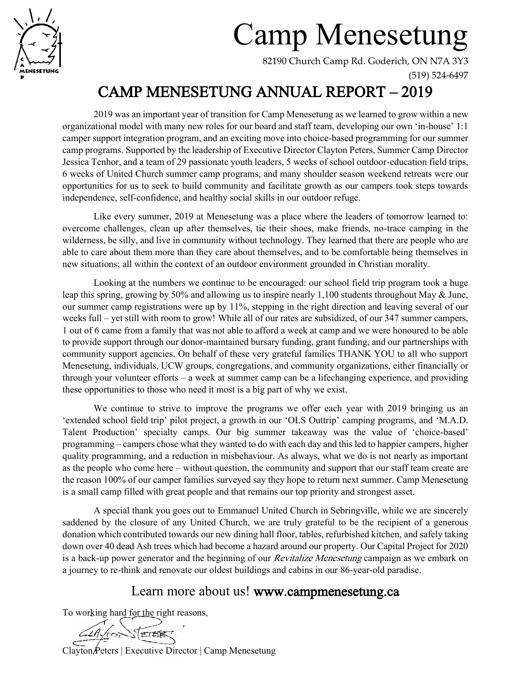

# Camp Menesetung

82190 Church Camp Rd. Goderich, ON N7A 3Y3

(519) 524-6497

## CAMP MENESETUNG ANNUAL REPORT – 2019

2019 was an important year of transition for Camp Menesetung as we learned to grow within a new organizational model with many new roles for our board and staff team, developing our own 'in-house' 1:1 camper support integration program, and an exciting move into choice-based programming for our summer camp programs. Supported by the leadership of Executive Director Clayton Peters, Summer Camp Director Jessica Tenhor, and a team of 29 passionate youth leaders, 5 weeks of school outdoor-education field trips, 6 weeks of United Church summer camp programs, and many shoulder season weekend retreats were our opportunities for us to seek to build community and facilitate growth as our campers took steps towards independence, self-confidence, and healthy social skills in our outdoor refuge.

Like every summer, 2019 at Menesetung was a place where the leaders of tomorrow learned to: overcome challenges, clean up after themselves, tie their shoes, make friends, no-trace camping in the wilderness, be silly, and live in community without technology. They learned that there are people who are able to care about them more than they care about themselves, and to be comfortable being themselves in new situations; all within the context of an outdoor environment grounded in Christian morality.

Looking at the numbers we continue to be encouraged: our school field trip program took a huge leap this spring, growing by 50% and allowing us to inspire nearly 1,100 students throughout May & June, our summer camp registrations were up by 11%, stepping in the right direction and leaving several of our weeks full – yet still with room to grow! While all of our rates are subsidized, of our 347 summer campers, 1 out of 6 came from a family that was not able to afford a week at camp and we were honoured to be able to provide support through our donor-maintained bursary funding, grant funding, and our partnerships with community support agencies. On behalf of these very grateful families THANK YOU to all who support Menesetung, individuals, UCW groups, congregations, and community organizations, either financially or through your volunteer efforts – a week at summer camp can be a lifechanging experience, and providing these opportunities to those who need it most is a big part of why we exist.

We continue to strive to improve the programs we offer each year with 2019 bringing us an 'extended school field trip' pilot project, a growth in our 'OLS Outtrip' camping programs, and 'M.A.D. Talent Production' specialty camps. Our big summer takeaway was the value of 'choice-based' programming – campers chose what they wanted to do with each day and this led to happier campers, higher quality programming, and a reduction in misbehaviour. As always, what we do is not nearly as important as the people who come here – without question, the community and support that our staff team create are the reason 100% of our camper families surveyed say they hope to return next summer. Camp Menesetung is a small camp filled with great people and that remains our top priority and strongest asset.

A special thank you goes out to Emmanuel United Church in Sebringville, while we are sincerely saddened by the closure of any United Church, we are truly grateful to be the recipient of a generous donation which contributed towards our new dining hall floor, tables, refurbished kitchen, and safely taking down over 40 dead Ash trees which had become a hazard around our property. Our Capital Project for 2020 is a back-up power generator and the beginning of our *Revitalize Menesetung* campaign as we embark on a journey to re-think and renovate our oldest buildings and cabins in our 86-year-old paradise.

## Learn more about us! [www.campmenesetung.ca](http://www.campmenesetung.ca/)

To working hard for the right reasons,

PETER

Clayton Peters | Executive Director | Camp Menesetung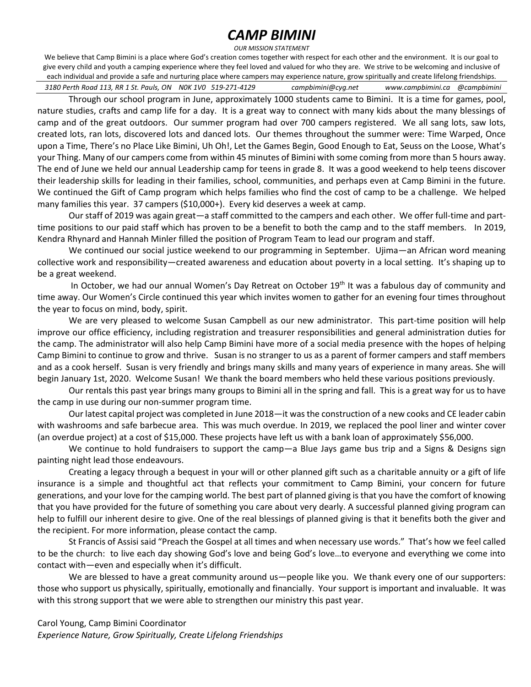### *CAMP BIMINI*

#### *OUR MISSION STATEMENT*

We believe that Camp Bimini is a place where God's creation comes together with respect for each other and the environment. It is our goal to give every child and youth a camping experience where they feel loved and valued for who they are. We strive to be welcoming and inclusive of each individual and provide a safe and nurturing place where campers may experience nature, grow spiritually and create lifelong friendships.

 *3180 Perth Road 113, RR 1 St. Pauls, ON N0K 1V0 519-271-4129 [campbimini@cyg.net](mailto:campbimini@cyg.net) [www.campbimini.ca](http://www.campbimini.ca/) @campbimini*

Through our school program in June, approximately 1000 students came to Bimini. It is a time for games, pool, nature studies, crafts and camp life for a day. It is a great way to connect with many kids about the many blessings of camp and of the great outdoors. Our summer program had over 700 campers registered. We all sang lots, saw lots, created lots, ran lots, discovered lots and danced lots. Our themes throughout the summer were: Time Warped, Once upon a Time, There's no Place Like Bimini, Uh Oh!, Let the Games Begin, Good Enough to Eat, Seuss on the Loose, What's your Thing. Many of our campers come from within 45 minutes of Bimini with some coming from more than 5 hours away. The end of June we held our annual Leadership camp for teens in grade 8. It was a good weekend to help teens discover their leadership skills for leading in their families, school, communities, and perhaps even at Camp Bimini in the future. We continued the Gift of Camp program which helps families who find the cost of camp to be a challenge. We helped many families this year. 37 campers (\$10,000+). Every kid deserves a week at camp.

Our staff of 2019 was again great—a staff committed to the campers and each other. We offer full-time and parttime positions to our paid staff which has proven to be a benefit to both the camp and to the staff members. In 2019, Kendra Rhynard and Hannah Minler filled the position of Program Team to lead our program and staff.

We continued our social justice weekend to our programming in September. Ujima—an African word meaning collective work and responsibility—created awareness and education about poverty in a local setting. It's shaping up to be a great weekend.

In October, we had our annual Women's Day Retreat on October 19<sup>th</sup> It was a fabulous day of community and time away. Our Women's Circle continued this year which invites women to gather for an evening four times throughout the year to focus on mind, body, spirit.

We are very pleased to welcome Susan Campbell as our new administrator. This part-time position will help improve our office efficiency, including registration and treasurer responsibilities and general administration duties for the camp. The administrator will also help Camp Bimini have more of a social media presence with the hopes of helping Camp Bimini to continue to grow and thrive. Susan is no stranger to us as a parent of former campers and staff members and as a cook herself. Susan is very friendly and brings many skills and many years of experience in many areas. She will begin January 1st, 2020. Welcome Susan! We thank the board members who held these various positions previously.

Our rentals this past year brings many groups to Bimini all in the spring and fall. This is a great way for us to have the camp in use during our non-summer program time.

Our latest capital project was completed in June 2018—it was the construction of a new cooks and CE leader cabin with washrooms and safe barbecue area. This was much overdue. In 2019, we replaced the pool liner and winter cover (an overdue project) at a cost of \$15,000. These projects have left us with a bank loan of approximately \$56,000.

We continue to hold fundraisers to support the camp—a Blue Jays game bus trip and a Signs & Designs sign painting night lead those endeavours.

Creating a legacy through a bequest in your will or other planned gift such as a charitable annuity or a gift of life insurance is a simple and thoughtful act that reflects your commitment to Camp Bimini, your concern for future generations, and your love for the camping world. The best part of planned giving is that you have the comfort of knowing that you have provided for the future of something you care about very dearly. A successful planned giving program can help to fulfill our inherent desire to give. One of the real blessings of planned giving is that it benefits both the giver and the recipient. For more information, please contact the camp.

St Francis of Assisi said "Preach the Gospel at all times and when necessary use words." That's how we feel called to be the church: to live each day showing God's love and being God's love…to everyone and everything we come into contact with—even and especially when it's difficult.

We are blessed to have a great community around us—people like you. We thank every one of our supporters: those who support us physically, spiritually, emotionally and financially. Your support is important and invaluable. It was with this strong support that we were able to strengthen our ministry this past year.

Carol Young, Camp Bimini Coordinator *Experience Nature, Grow Spiritually, Create Lifelong Friendships*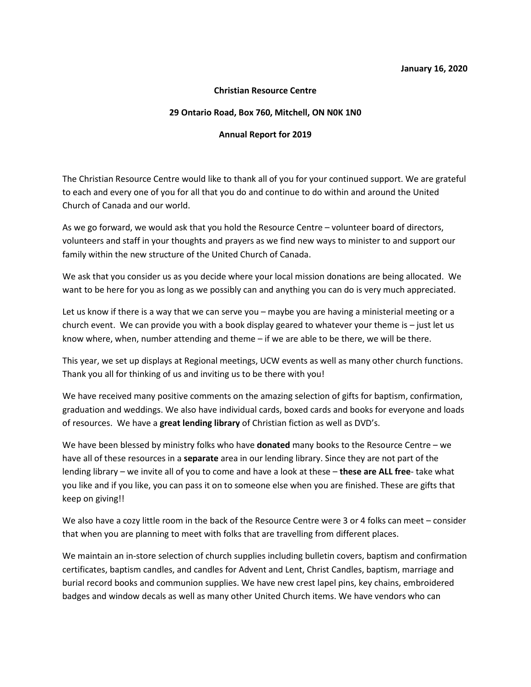#### **Christian Resource Centre**

#### **29 Ontario Road, Box 760, Mitchell, ON N0K 1N0**

#### **Annual Report for 2019**

The Christian Resource Centre would like to thank all of you for your continued support. We are grateful to each and every one of you for all that you do and continue to do within and around the United Church of Canada and our world.

As we go forward, we would ask that you hold the Resource Centre – volunteer board of directors, volunteers and staff in your thoughts and prayers as we find new ways to minister to and support our family within the new structure of the United Church of Canada.

We ask that you consider us as you decide where your local mission donations are being allocated. We want to be here for you as long as we possibly can and anything you can do is very much appreciated.

Let us know if there is a way that we can serve you – maybe you are having a ministerial meeting or a church event. We can provide you with a book display geared to whatever your theme is  $-$  just let us know where, when, number attending and theme – if we are able to be there, we will be there.

This year, we set up displays at Regional meetings, UCW events as well as many other church functions. Thank you all for thinking of us and inviting us to be there with you!

We have received many positive comments on the amazing selection of gifts for baptism, confirmation, graduation and weddings. We also have individual cards, boxed cards and books for everyone and loads of resources. We have a **great lending library** of Christian fiction as well as DVD's.

We have been blessed by ministry folks who have **donated** many books to the Resource Centre – we have all of these resources in a **separate** area in our lending library. Since they are not part of the lending library – we invite all of you to come and have a look at these – these are ALL free- take what you like and if you like, you can pass it on to someone else when you are finished. These are gifts that keep on giving!!

We also have a cozy little room in the back of the Resource Centre were 3 or 4 folks can meet – consider that when you are planning to meet with folks that are travelling from different places.

We maintain an in-store selection of church supplies including bulletin covers, baptism and confirmation certificates, baptism candles, and candles for Advent and Lent, Christ Candles, baptism, marriage and burial record books and communion supplies. We have new crest lapel pins, key chains, embroidered badges and window decals as well as many other United Church items. We have vendors who can